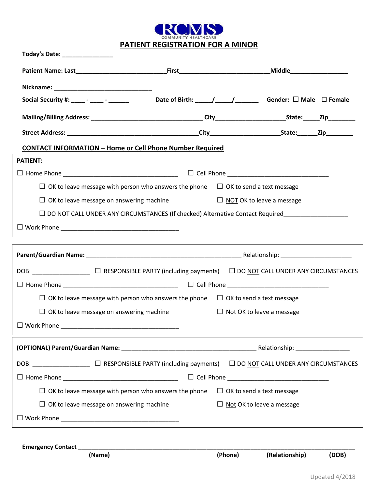

**PATIENT REGISTRATION FOR A MINOR**

|                                                                 |                                                                                               | Social Security #: ____ - _____ bate of Birth: ____/____/______ Gender: $\Box$ Male $\Box$ Female   |
|-----------------------------------------------------------------|-----------------------------------------------------------------------------------------------|-----------------------------------------------------------------------------------------------------|
|                                                                 |                                                                                               |                                                                                                     |
|                                                                 |                                                                                               |                                                                                                     |
| <b>CONTACT INFORMATION - Home or Cell Phone Number Required</b> |                                                                                               |                                                                                                     |
| <b>PATIENT:</b>                                                 |                                                                                               |                                                                                                     |
|                                                                 |                                                                                               |                                                                                                     |
|                                                                 | $\Box$ OK to leave message with person who answers the phone $\Box$ OK to send a text message |                                                                                                     |
|                                                                 | $\Box$ OK to leave message on answering machine $\Box$ ON TOK to leave a message              |                                                                                                     |
|                                                                 |                                                                                               | □ DO NOT CALL UNDER ANY CIRCUMSTANCES (If checked) Alternative Contact Required____________________ |
|                                                                 |                                                                                               |                                                                                                     |
|                                                                 |                                                                                               |                                                                                                     |
|                                                                 |                                                                                               |                                                                                                     |
|                                                                 |                                                                                               |                                                                                                     |
|                                                                 |                                                                                               |                                                                                                     |
|                                                                 |                                                                                               |                                                                                                     |
|                                                                 | $\Box$ OK to leave message with person who answers the phone $\Box$ OK to send a text message |                                                                                                     |
| $\Box$ OK to leave message on answering machine                 |                                                                                               | $\Box$ Not OK to leave a message                                                                    |
| $\Box$ Work Phone                                               |                                                                                               |                                                                                                     |
|                                                                 |                                                                                               |                                                                                                     |
|                                                                 |                                                                                               |                                                                                                     |
|                                                                 |                                                                                               |                                                                                                     |
|                                                                 |                                                                                               |                                                                                                     |
| $\Box$ OK to leave message with person who answers the phone    |                                                                                               | $\Box$ OK to send a text message                                                                    |
| $\Box$ OK to leave message on answering machine                 |                                                                                               | $\Box$ Not OK to leave a message                                                                    |
|                                                                 |                                                                                               |                                                                                                     |

**Emergency Contact \_\_\_\_\_\_\_\_\_\_\_\_\_\_\_\_\_\_\_\_\_\_\_\_\_\_\_\_\_\_\_\_\_\_\_\_\_\_\_\_\_\_\_\_\_\_\_\_\_\_\_\_\_\_\_\_\_\_\_\_\_\_\_\_\_\_\_\_\_\_\_\_\_\_\_\_\_\_\_\_\_\_**

**(Name) (Phone) (Relationship) (DOB)**